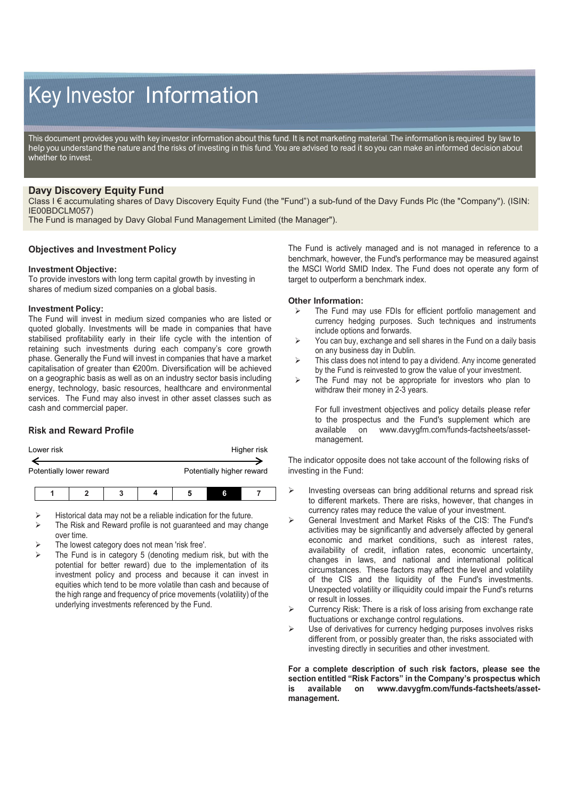# Key Investor Information

This document provides you with key investor information about this fund. It is not marketing material. The information is required by law to help you understand the nature and the risks of investing in this fund. You are advised to read it so you can make an informed decision about whether to invest.

## **Davy Discovery Equity Fund**

Class I € accumulating shares of Davy Discovery Equity Fund (the "Fund") a sub-fund of the Davy Funds Plc (the "Company"). (ISIN: IE00BDCLM057)

The Fund is managed by Davy Global Fund Management Limited (the Manager").

## **Objectives and Investment Policy**

#### **Investment Objective:**

To provide investors with long term capital growth by investing in shares of medium sized companies on a global basis.

#### **Investment Policy:**

The Fund will invest in medium sized companies who are listed or quoted globally. Investments will be made in companies that have stabilised profitability early in their life cycle with the intention of retaining such investments during each company's core growth phase. Generally the Fund will invest in companies that have a market capitalisation of greater than €200m. Diversification will be achieved on a geographic basis as well as on an industry sector basis including energy, technology, basic resources, healthcare and environmental services. The Fund may also invest in other asset classes such as cash and commercial paper.

## **Risk and Reward Profile**

| Lower risk | Higher risk |
|------------|-------------|
|            |             |

Potentially lower reward **Potentially higher reward** 

- Historical data may not be a reliable indication for the future.
- The Risk and Reward profile is not guaranteed and may change over time.
- The lowest category does not mean 'risk free'.
- The Fund is in category 5 (denoting medium risk, but with the potential for better reward) due to the implementation of its investment policy and process and because it can invest in equities which tend to be more volatile than cash and because of the high range and frequency of price movements (volatility) of the underlying investments referenced by the Fund.

The Fund is actively managed and is not managed in reference to a benchmark, however, the Fund's performance may be measured against the MSCI World SMID Index. The Fund does not operate any form of target to outperform a benchmark index.

#### **Other Information:**

- $\triangleright$  The Fund may use FDIs for efficient portfolio management and currency hedging purposes. Such techniques and instruments include options and forwards.
- $\triangleright$  You can buy, exchange and sell shares in the Fund on a daily basis on any business day in Dublin.
- $\triangleright$  This class does not intend to pay a dividend. Any income generated by the Fund is reinvested to grow the value of your investment.
- $\triangleright$  The Fund may not be appropriate for investors who plan to withdraw their money in 2-3 years.

For full investment objectives and policy details please refer to the prospectus and the Fund's supplement which are available on www.davvafm.com/funds-factsheets/asseton www.davygfm.com/funds-factsheets/assetmanagement.

The indicator opposite does not take account of the following risks of investing in the Fund:

- $\triangleright$  Investing overseas can bring additional returns and spread risk to different markets. There are risks, however, that changes in currency rates may reduce the value of your investment.
- General Investment and Market Risks of the CIS: The Fund's activities may be significantly and adversely affected by general economic and market conditions, such as interest rates, availability of credit, inflation rates, economic uncertainty, changes in laws, and national and international political circumstances. These factors may affect the level and volatility of the CIS and the liquidity of the Fund's investments. Unexpected volatility or illiquidity could impair the Fund's returns or result in losses.
- $\triangleright$  Currency Risk: There is a risk of loss arising from exchange rate fluctuations or exchange control regulations.
- Use of derivatives for currency hedging purposes involves risks different from, or possibly greater than, the risks associated with investing directly in securities and other investment.

**For a complete description of such risk factors, please see the section entitled "Risk Factors" in the Company's prospectus which is available on www.davygfm.com/funds-factsheets/assetmanagement.**